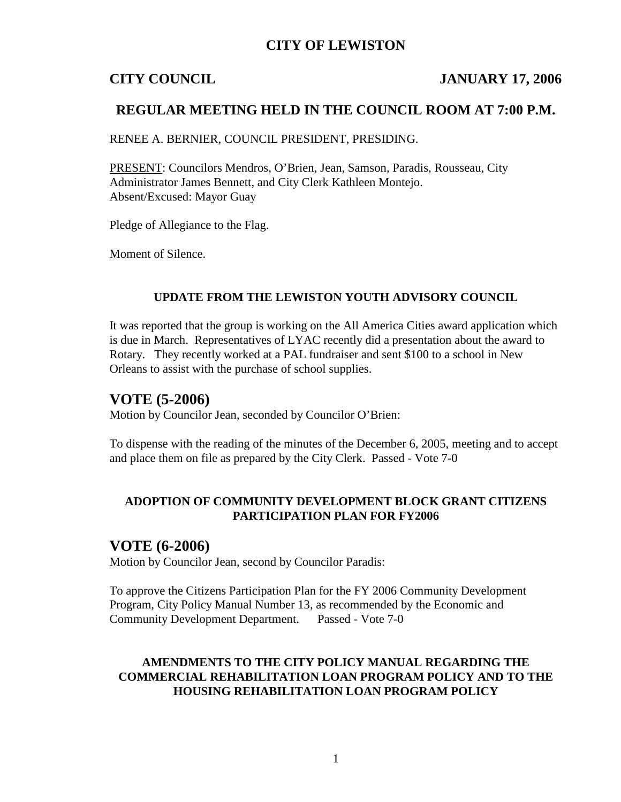# **CITY OF LEWISTON**

## **CITY COUNCIL JANUARY 17, 2006**

## **REGULAR MEETING HELD IN THE COUNCIL ROOM AT 7:00 P.M.**

RENEE A. BERNIER, COUNCIL PRESIDENT, PRESIDING.

PRESENT: Councilors Mendros, O'Brien, Jean, Samson, Paradis, Rousseau, City Administrator James Bennett, and City Clerk Kathleen Montejo. Absent/Excused: Mayor Guay

Pledge of Allegiance to the Flag.

Moment of Silence.

### **UPDATE FROM THE LEWISTON YOUTH ADVISORY COUNCIL**

It was reported that the group is working on the All America Cities award application which is due in March. Representatives of LYAC recently did a presentation about the award to Rotary. They recently worked at a PAL fundraiser and sent \$100 to a school in New Orleans to assist with the purchase of school supplies.

## **VOTE (5-2006)**

Motion by Councilor Jean, seconded by Councilor O'Brien:

To dispense with the reading of the minutes of the December 6, 2005, meeting and to accept and place them on file as prepared by the City Clerk. Passed - Vote 7-0

## **ADOPTION OF COMMUNITY DEVELOPMENT BLOCK GRANT CITIZENS PARTICIPATION PLAN FOR FY2006**

## **VOTE (6-2006)**

Motion by Councilor Jean, second by Councilor Paradis:

To approve the Citizens Participation Plan for the FY 2006 Community Development Program, City Policy Manual Number 13, as recommended by the Economic and Community Development Department. Passed - Vote 7-0

## **AMENDMENTS TO THE CITY POLICY MANUAL REGARDING THE COMMERCIAL REHABILITATION LOAN PROGRAM POLICY AND TO THE HOUSING REHABILITATION LOAN PROGRAM POLICY**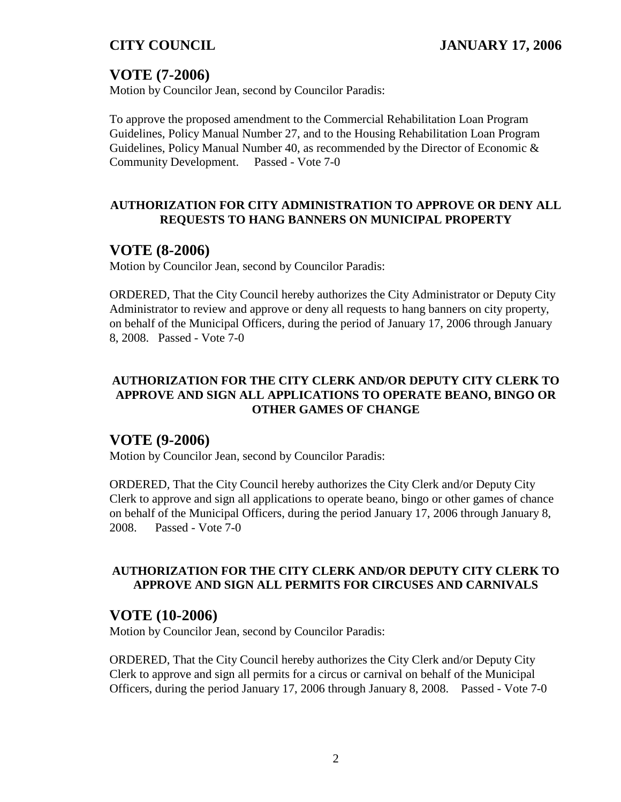# **VOTE (7-2006)**

Motion by Councilor Jean, second by Councilor Paradis:

To approve the proposed amendment to the Commercial Rehabilitation Loan Program Guidelines, Policy Manual Number 27, and to the Housing Rehabilitation Loan Program Guidelines, Policy Manual Number 40, as recommended by the Director of Economic  $\&$ Community Development. Passed - Vote 7-0

## **AUTHORIZATION FOR CITY ADMINISTRATION TO APPROVE OR DENY ALL REQUESTS TO HANG BANNERS ON MUNICIPAL PROPERTY**

## **VOTE (8-2006)**

Motion by Councilor Jean, second by Councilor Paradis:

ORDERED, That the City Council hereby authorizes the City Administrator or Deputy City Administrator to review and approve or deny all requests to hang banners on city property, on behalf of the Municipal Officers, during the period of January 17, 2006 through January 8, 2008. Passed - Vote 7-0

## **AUTHORIZATION FOR THE CITY CLERK AND/OR DEPUTY CITY CLERK TO APPROVE AND SIGN ALL APPLICATIONS TO OPERATE BEANO, BINGO OR OTHER GAMES OF CHANGE**

## **VOTE (9-2006)**

Motion by Councilor Jean, second by Councilor Paradis:

ORDERED, That the City Council hereby authorizes the City Clerk and/or Deputy City Clerk to approve and sign all applications to operate beano, bingo or other games of chance on behalf of the Municipal Officers, during the period January 17, 2006 through January 8, 2008. Passed - Vote 7-0

## **AUTHORIZATION FOR THE CITY CLERK AND/OR DEPUTY CITY CLERK TO APPROVE AND SIGN ALL PERMITS FOR CIRCUSES AND CARNIVALS**

## **VOTE (10-2006)**

Motion by Councilor Jean, second by Councilor Paradis:

ORDERED, That the City Council hereby authorizes the City Clerk and/or Deputy City Clerk to approve and sign all permits for a circus or carnival on behalf of the Municipal Officers, during the period January 17, 2006 through January 8, 2008. Passed - Vote 7-0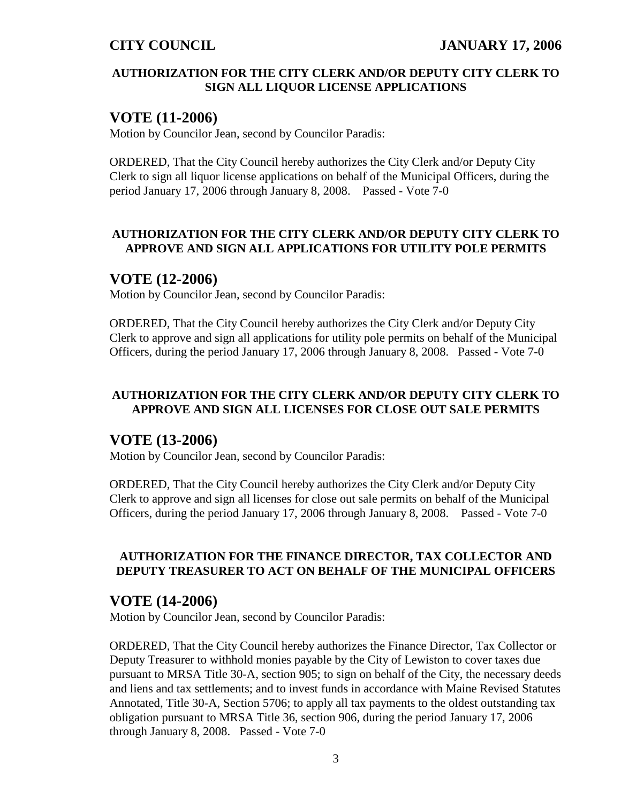## **AUTHORIZATION FOR THE CITY CLERK AND/OR DEPUTY CITY CLERK TO SIGN ALL LIQUOR LICENSE APPLICATIONS**

# **VOTE (11-2006)**

Motion by Councilor Jean, second by Councilor Paradis:

ORDERED, That the City Council hereby authorizes the City Clerk and/or Deputy City Clerk to sign all liquor license applications on behalf of the Municipal Officers, during the period January 17, 2006 through January 8, 2008. Passed - Vote 7-0

## **AUTHORIZATION FOR THE CITY CLERK AND/OR DEPUTY CITY CLERK TO APPROVE AND SIGN ALL APPLICATIONS FOR UTILITY POLE PERMITS**

# **VOTE (12-2006)**

Motion by Councilor Jean, second by Councilor Paradis:

ORDERED, That the City Council hereby authorizes the City Clerk and/or Deputy City Clerk to approve and sign all applications for utility pole permits on behalf of the Municipal Officers, during the period January 17, 2006 through January 8, 2008. Passed - Vote 7-0

## **AUTHORIZATION FOR THE CITY CLERK AND/OR DEPUTY CITY CLERK TO APPROVE AND SIGN ALL LICENSES FOR CLOSE OUT SALE PERMITS**

## **VOTE (13-2006)**

Motion by Councilor Jean, second by Councilor Paradis:

ORDERED, That the City Council hereby authorizes the City Clerk and/or Deputy City Clerk to approve and sign all licenses for close out sale permits on behalf of the Municipal Officers, during the period January 17, 2006 through January 8, 2008. Passed - Vote 7-0

## **AUTHORIZATION FOR THE FINANCE DIRECTOR, TAX COLLECTOR AND DEPUTY TREASURER TO ACT ON BEHALF OF THE MUNICIPAL OFFICERS**

# **VOTE (14-2006)**

Motion by Councilor Jean, second by Councilor Paradis:

ORDERED, That the City Council hereby authorizes the Finance Director, Tax Collector or Deputy Treasurer to withhold monies payable by the City of Lewiston to cover taxes due pursuant to MRSA Title 30-A, section 905; to sign on behalf of the City, the necessary deeds and liens and tax settlements; and to invest funds in accordance with Maine Revised Statutes Annotated, Title 30-A, Section 5706; to apply all tax payments to the oldest outstanding tax obligation pursuant to MRSA Title 36, section 906, during the period January 17, 2006 through January 8, 2008. Passed - Vote 7-0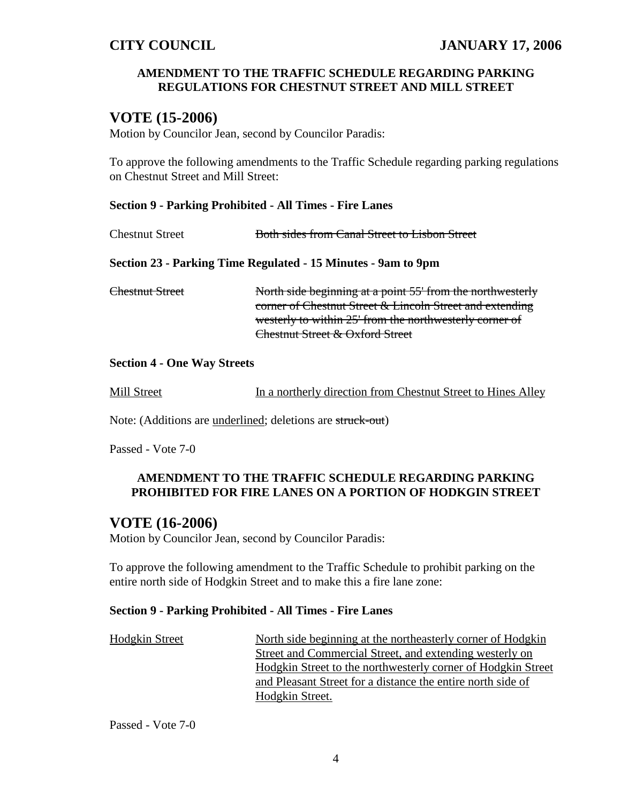### **AMENDMENT TO THE TRAFFIC SCHEDULE REGARDING PARKING REGULATIONS FOR CHESTNUT STREET AND MILL STREET**

# **VOTE (15-2006)**

Motion by Councilor Jean, second by Councilor Paradis:

To approve the following amendments to the Traffic Schedule regarding parking regulations on Chestnut Street and Mill Street:

### **Section 9 - Parking Prohibited - All Times - Fire Lanes**

| <b>Chestnut Street</b>                                        | Both sides from Canal Street to Lisbon Street                                                                                                                                     |  |  |  |
|---------------------------------------------------------------|-----------------------------------------------------------------------------------------------------------------------------------------------------------------------------------|--|--|--|
| Section 23 - Parking Time Regulated - 15 Minutes - 9am to 9pm |                                                                                                                                                                                   |  |  |  |
| Chestnut Street                                               | North side beginning at a point 55' from the northwesterly<br>corner of Chestnut Street & Lincoln Street and extending<br>westerly to within 25' from the northwesterly corner of |  |  |  |

### **Section 4 - One Way Streets**

| Mill Street |  | In a northerly direction from Chestnut Street to Hines Alley |  |
|-------------|--|--------------------------------------------------------------|--|
|             |  |                                                              |  |

Chestnut Street & Oxford Street

Note: (Additions are underlined; deletions are struck-out)

Passed - Vote 7-0

### **AMENDMENT TO THE TRAFFIC SCHEDULE REGARDING PARKING PROHIBITED FOR FIRE LANES ON A PORTION OF HODKGIN STREET**

## **VOTE (16-2006)**

Motion by Councilor Jean, second by Councilor Paradis:

To approve the following amendment to the Traffic Schedule to prohibit parking on the entire north side of Hodgkin Street and to make this a fire lane zone:

### **Section 9 - Parking Prohibited - All Times - Fire Lanes**

| Hodgkin Street | North side beginning at the northeasterly corner of Hodgkin  |
|----------------|--------------------------------------------------------------|
|                | Street and Commercial Street, and extending westerly on      |
|                | Hodgkin Street to the northwesterly corner of Hodgkin Street |
|                | and Pleasant Street for a distance the entire north side of  |
|                | Hodgkin Street.                                              |

Passed - Vote 7-0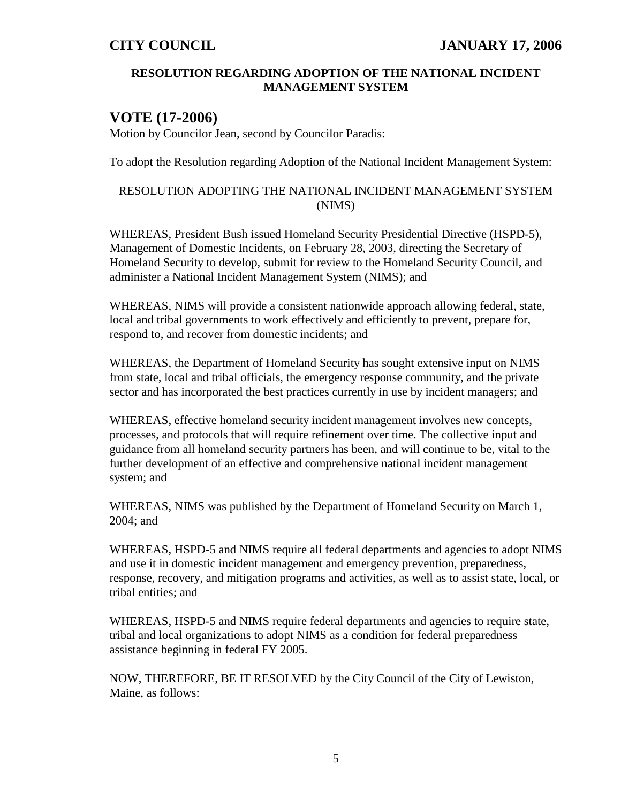### **RESOLUTION REGARDING ADOPTION OF THE NATIONAL INCIDENT MANAGEMENT SYSTEM**

# **VOTE (17-2006)**

Motion by Councilor Jean, second by Councilor Paradis:

To adopt the Resolution regarding Adoption of the National Incident Management System:

## RESOLUTION ADOPTING THE NATIONAL INCIDENT MANAGEMENT SYSTEM (NIMS)

WHEREAS, President Bush issued Homeland Security Presidential Directive (HSPD-5), Management of Domestic Incidents, on February 28, 2003, directing the Secretary of Homeland Security to develop, submit for review to the Homeland Security Council, and administer a National Incident Management System (NIMS); and

WHEREAS, NIMS will provide a consistent nationwide approach allowing federal, state, local and tribal governments to work effectively and efficiently to prevent, prepare for, respond to, and recover from domestic incidents; and

WHEREAS, the Department of Homeland Security has sought extensive input on NIMS from state, local and tribal officials, the emergency response community, and the private sector and has incorporated the best practices currently in use by incident managers; and

WHEREAS, effective homeland security incident management involves new concepts, processes, and protocols that will require refinement over time. The collective input and guidance from all homeland security partners has been, and will continue to be, vital to the further development of an effective and comprehensive national incident management system; and

WHEREAS, NIMS was published by the Department of Homeland Security on March 1, 2004; and

WHEREAS, HSPD-5 and NIMS require all federal departments and agencies to adopt NIMS and use it in domestic incident management and emergency prevention, preparedness, response, recovery, and mitigation programs and activities, as well as to assist state, local, or tribal entities; and

WHEREAS, HSPD-5 and NIMS require federal departments and agencies to require state, tribal and local organizations to adopt NIMS as a condition for federal preparedness assistance beginning in federal FY 2005.

NOW, THEREFORE, BE IT RESOLVED by the City Council of the City of Lewiston, Maine, as follows: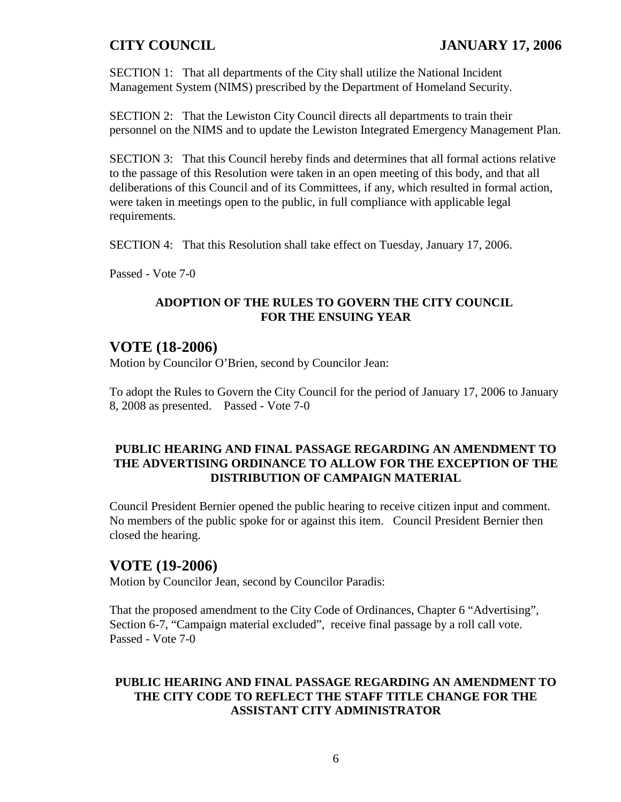SECTION 1: That all departments of the City shall utilize the National Incident Management System (NIMS) prescribed by the Department of Homeland Security.

SECTION 2: That the Lewiston City Council directs all departments to train their personnel on the NIMS and to update the Lewiston Integrated Emergency Management Plan.

SECTION 3: That this Council hereby finds and determines that all formal actions relative to the passage of this Resolution were taken in an open meeting of this body, and that all deliberations of this Council and of its Committees, if any, which resulted in formal action, were taken in meetings open to the public, in full compliance with applicable legal requirements.

SECTION 4: That this Resolution shall take effect on Tuesday, January 17, 2006.

Passed - Vote 7-0

### **ADOPTION OF THE RULES TO GOVERN THE CITY COUNCIL FOR THE ENSUING YEAR**

# **VOTE (18-2006)**

Motion by Councilor O'Brien, second by Councilor Jean:

To adopt the Rules to Govern the City Council for the period of January 17, 2006 to January 8, 2008 as presented. Passed - Vote 7-0

## **PUBLIC HEARING AND FINAL PASSAGE REGARDING AN AMENDMENT TO THE ADVERTISING ORDINANCE TO ALLOW FOR THE EXCEPTION OF THE DISTRIBUTION OF CAMPAIGN MATERIAL**

Council President Bernier opened the public hearing to receive citizen input and comment. No members of the public spoke for or against this item. Council President Bernier then closed the hearing.

# **VOTE (19-2006)**

Motion by Councilor Jean, second by Councilor Paradis:

That the proposed amendment to the City Code of Ordinances, Chapter 6 "Advertising", Section 6-7, "Campaign material excluded", receive final passage by a roll call vote. Passed - Vote 7-0

## **PUBLIC HEARING AND FINAL PASSAGE REGARDING AN AMENDMENT TO THE CITY CODE TO REFLECT THE STAFF TITLE CHANGE FOR THE ASSISTANT CITY ADMINISTRATOR**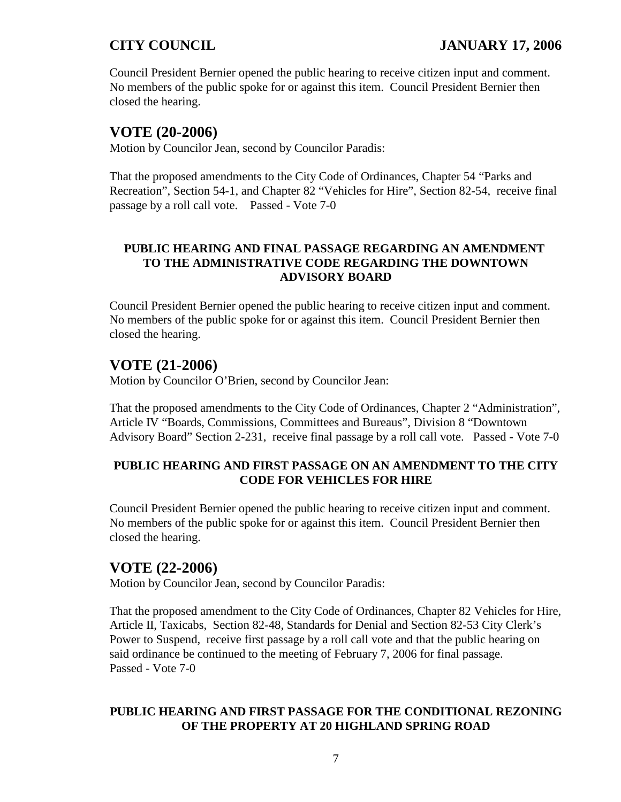Council President Bernier opened the public hearing to receive citizen input and comment. No members of the public spoke for or against this item. Council President Bernier then closed the hearing.

# **VOTE (20-2006)**

Motion by Councilor Jean, second by Councilor Paradis:

That the proposed amendments to the City Code of Ordinances, Chapter 54 "Parks and Recreation", Section 54-1, and Chapter 82 "Vehicles for Hire", Section 82-54, receive final passage by a roll call vote. Passed - Vote 7-0

## **PUBLIC HEARING AND FINAL PASSAGE REGARDING AN AMENDMENT TO THE ADMINISTRATIVE CODE REGARDING THE DOWNTOWN ADVISORY BOARD**

Council President Bernier opened the public hearing to receive citizen input and comment. No members of the public spoke for or against this item. Council President Bernier then closed the hearing.

# **VOTE (21-2006)**

Motion by Councilor O'Brien, second by Councilor Jean:

That the proposed amendments to the City Code of Ordinances, Chapter 2 "Administration", Article IV "Boards, Commissions, Committees and Bureaus", Division 8 "Downtown Advisory Board" Section 2-231, receive final passage by a roll call vote. Passed - Vote 7-0

## **PUBLIC HEARING AND FIRST PASSAGE ON AN AMENDMENT TO THE CITY CODE FOR VEHICLES FOR HIRE**

Council President Bernier opened the public hearing to receive citizen input and comment. No members of the public spoke for or against this item. Council President Bernier then closed the hearing.

# **VOTE (22-2006)**

Motion by Councilor Jean, second by Councilor Paradis:

That the proposed amendment to the City Code of Ordinances, Chapter 82 Vehicles for Hire, Article II, Taxicabs, Section 82-48, Standards for Denial and Section 82-53 City Clerk's Power to Suspend, receive first passage by a roll call vote and that the public hearing on said ordinance be continued to the meeting of February 7, 2006 for final passage. Passed - Vote 7-0

## **PUBLIC HEARING AND FIRST PASSAGE FOR THE CONDITIONAL REZONING OF THE PROPERTY AT 20 HIGHLAND SPRING ROAD**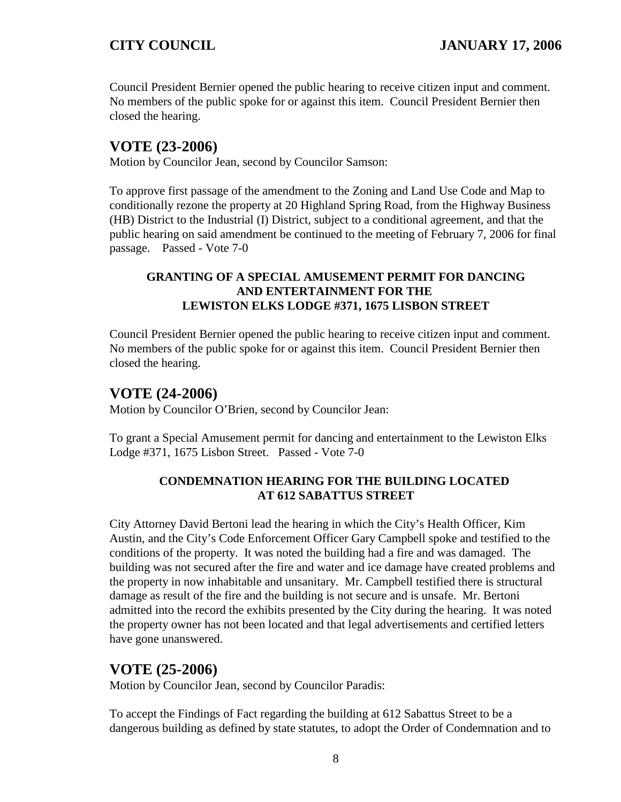Council President Bernier opened the public hearing to receive citizen input and comment. No members of the public spoke for or against this item. Council President Bernier then closed the hearing.

# **VOTE (23-2006)**

Motion by Councilor Jean, second by Councilor Samson:

To approve first passage of the amendment to the Zoning and Land Use Code and Map to conditionally rezone the property at 20 Highland Spring Road, from the Highway Business (HB) District to the Industrial (I) District, subject to a conditional agreement, and that the public hearing on said amendment be continued to the meeting of February 7, 2006 for final passage. Passed - Vote 7-0

## **GRANTING OF A SPECIAL AMUSEMENT PERMIT FOR DANCING AND ENTERTAINMENT FOR THE LEWISTON ELKS LODGE #371, 1675 LISBON STREET**

Council President Bernier opened the public hearing to receive citizen input and comment. No members of the public spoke for or against this item. Council President Bernier then closed the hearing.

# **VOTE (24-2006)**

Motion by Councilor O'Brien, second by Councilor Jean:

To grant a Special Amusement permit for dancing and entertainment to the Lewiston Elks Lodge #371, 1675 Lisbon Street. Passed - Vote 7-0

## **CONDEMNATION HEARING FOR THE BUILDING LOCATED AT 612 SABATTUS STREET**

City Attorney David Bertoni lead the hearing in which the City's Health Officer, Kim Austin, and the City's Code Enforcement Officer Gary Campbell spoke and testified to the conditions of the property. It was noted the building had a fire and was damaged. The building was not secured after the fire and water and ice damage have created problems and the property in now inhabitable and unsanitary. Mr. Campbell testified there is structural damage as result of the fire and the building is not secure and is unsafe. Mr. Bertoni admitted into the record the exhibits presented by the City during the hearing. It was noted the property owner has not been located and that legal advertisements and certified letters have gone unanswered.

# **VOTE (25-2006)**

Motion by Councilor Jean, second by Councilor Paradis:

To accept the Findings of Fact regarding the building at 612 Sabattus Street to be a dangerous building as defined by state statutes, to adopt the Order of Condemnation and to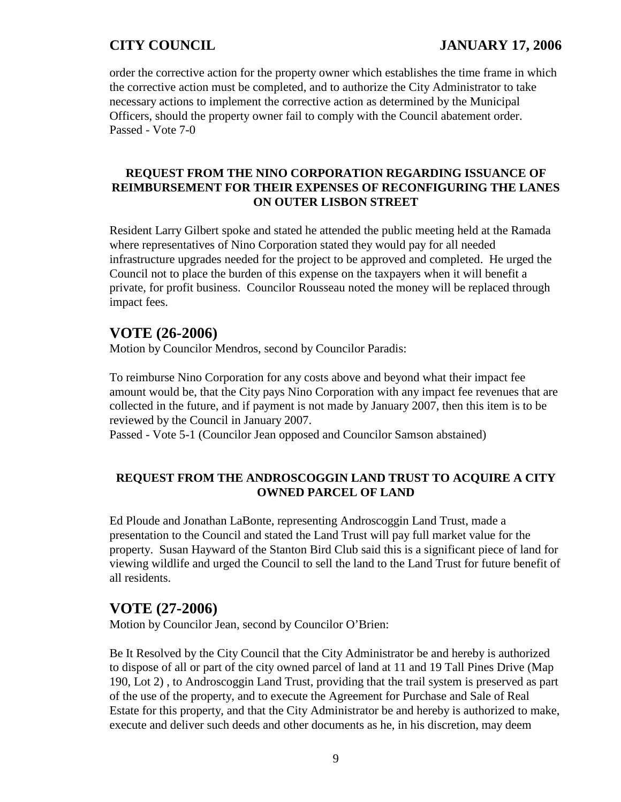# **CITY COUNCIL JANUARY 17, 2006**

order the corrective action for the property owner which establishes the time frame in which the corrective action must be completed, and to authorize the City Administrator to take necessary actions to implement the corrective action as determined by the Municipal Officers, should the property owner fail to comply with the Council abatement order. Passed - Vote 7-0

### **REQUEST FROM THE NINO CORPORATION REGARDING ISSUANCE OF REIMBURSEMENT FOR THEIR EXPENSES OF RECONFIGURING THE LANES ON OUTER LISBON STREET**

Resident Larry Gilbert spoke and stated he attended the public meeting held at the Ramada where representatives of Nino Corporation stated they would pay for all needed infrastructure upgrades needed for the project to be approved and completed. He urged the Council not to place the burden of this expense on the taxpayers when it will benefit a private, for profit business. Councilor Rousseau noted the money will be replaced through impact fees.

# **VOTE (26-2006)**

Motion by Councilor Mendros, second by Councilor Paradis:

To reimburse Nino Corporation for any costs above and beyond what their impact fee amount would be, that the City pays Nino Corporation with any impact fee revenues that are collected in the future, and if payment is not made by January 2007, then this item is to be reviewed by the Council in January 2007.

Passed - Vote 5-1 (Councilor Jean opposed and Councilor Samson abstained)

## **REQUEST FROM THE ANDROSCOGGIN LAND TRUST TO ACQUIRE A CITY OWNED PARCEL OF LAND**

Ed Ploude and Jonathan LaBonte, representing Androscoggin Land Trust, made a presentation to the Council and stated the Land Trust will pay full market value for the property. Susan Hayward of the Stanton Bird Club said this is a significant piece of land for viewing wildlife and urged the Council to sell the land to the Land Trust for future benefit of all residents.

# **VOTE (27-2006)**

Motion by Councilor Jean, second by Councilor O'Brien:

Be It Resolved by the City Council that the City Administrator be and hereby is authorized to dispose of all or part of the city owned parcel of land at 11 and 19 Tall Pines Drive (Map 190, Lot 2) , to Androscoggin Land Trust, providing that the trail system is preserved as part of the use of the property, and to execute the Agreement for Purchase and Sale of Real Estate for this property, and that the City Administrator be and hereby is authorized to make, execute and deliver such deeds and other documents as he, in his discretion, may deem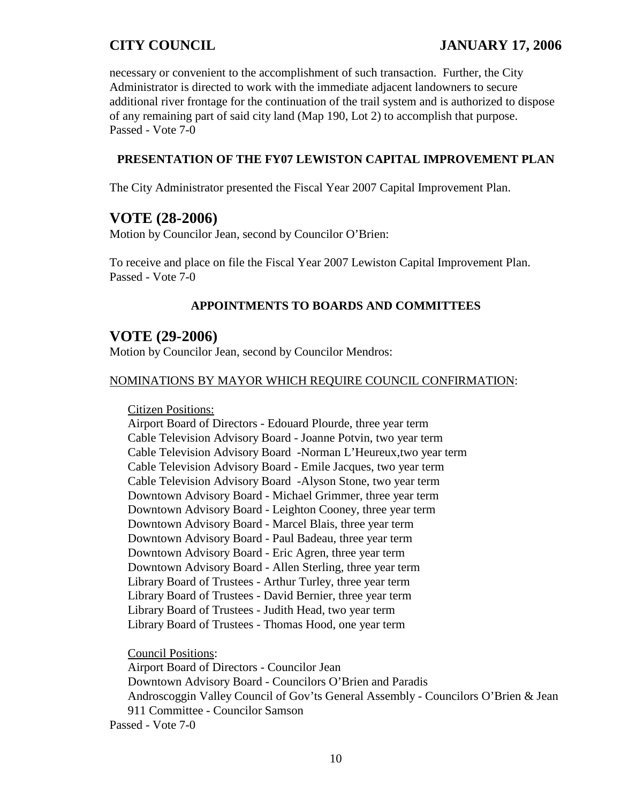necessary or convenient to the accomplishment of such transaction. Further, the City Administrator is directed to work with the immediate adjacent landowners to secure additional river frontage for the continuation of the trail system and is authorized to dispose of any remaining part of said city land (Map 190, Lot 2) to accomplish that purpose. Passed - Vote 7-0

### **PRESENTATION OF THE FY07 LEWISTON CAPITAL IMPROVEMENT PLAN**

The City Administrator presented the Fiscal Year 2007 Capital Improvement Plan.

## **VOTE (28-2006)**

Motion by Councilor Jean, second by Councilor O'Brien:

To receive and place on file the Fiscal Year 2007 Lewiston Capital Improvement Plan. Passed - Vote 7-0

### **APPOINTMENTS TO BOARDS AND COMMITTEES**

## **VOTE (29-2006)**

Motion by Councilor Jean, second by Councilor Mendros:

### NOMINATIONS BY MAYOR WHICH REQUIRE COUNCIL CONFIRMATION:

Citizen Positions:

Airport Board of Directors - Edouard Plourde, three year term Cable Television Advisory Board - Joanne Potvin, two year term Cable Television Advisory Board -Norman L'Heureux,two year term Cable Television Advisory Board - Emile Jacques, two year term Cable Television Advisory Board -Alyson Stone, two year term Downtown Advisory Board - Michael Grimmer, three year term Downtown Advisory Board - Leighton Cooney, three year term Downtown Advisory Board - Marcel Blais, three year term Downtown Advisory Board - Paul Badeau, three year term Downtown Advisory Board - Eric Agren, three year term Downtown Advisory Board - Allen Sterling, three year term Library Board of Trustees - Arthur Turley, three year term Library Board of Trustees - David Bernier, three year term Library Board of Trustees - Judith Head, two year term Library Board of Trustees - Thomas Hood, one year term

Council Positions:

Airport Board of Directors - Councilor Jean Downtown Advisory Board - Councilors O'Brien and Paradis Androscoggin Valley Council of Gov'ts General Assembly - Councilors O'Brien & Jean 911 Committee - Councilor Samson Passed - Vote 7-0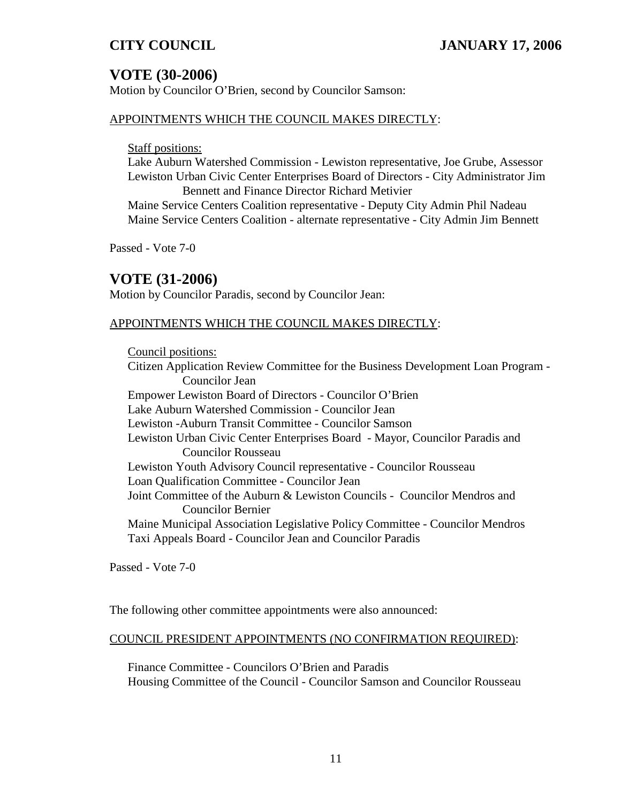# **VOTE (30-2006)**

Motion by Councilor O'Brien, second by Councilor Samson:

### APPOINTMENTS WHICH THE COUNCIL MAKES DIRECTLY:

Staff positions:

Lake Auburn Watershed Commission - Lewiston representative, Joe Grube, Assessor Lewiston Urban Civic Center Enterprises Board of Directors - City Administrator Jim Bennett and Finance Director Richard Metivier

Maine Service Centers Coalition representative - Deputy City Admin Phil Nadeau Maine Service Centers Coalition - alternate representative - City Admin Jim Bennett

Passed - Vote 7-0

# **VOTE (31-2006)**

Motion by Councilor Paradis, second by Councilor Jean:

### APPOINTMENTS WHICH THE COUNCIL MAKES DIRECTLY:

Council positions: Citizen Application Review Committee for the Business Development Loan Program - Councilor Jean Empower Lewiston Board of Directors - Councilor O'Brien Lake Auburn Watershed Commission - Councilor Jean Lewiston -Auburn Transit Committee - Councilor Samson Lewiston Urban Civic Center Enterprises Board - Mayor, Councilor Paradis and Councilor Rousseau Lewiston Youth Advisory Council representative - Councilor Rousseau Loan Qualification Committee - Councilor Jean Joint Committee of the Auburn & Lewiston Councils - Councilor Mendros and Councilor Bernier Maine Municipal Association Legislative Policy Committee - Councilor Mendros Taxi Appeals Board - Councilor Jean and Councilor Paradis

Passed - Vote 7-0

The following other committee appointments were also announced:

### COUNCIL PRESIDENT APPOINTMENTS (NO CONFIRMATION REQUIRED):

Finance Committee - Councilors O'Brien and Paradis Housing Committee of the Council - Councilor Samson and Councilor Rousseau